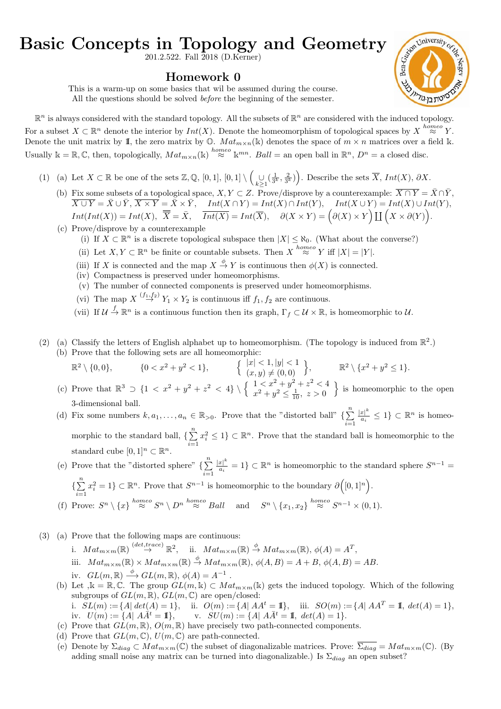## Basic Concepts in Topology and Geometry

201.2.522. Fall 2018 (D.Kerner)

## Homework 0

This is a warm-up on some basics that wil be assumed during the course. All the questions should be solved before the beginning of the semester.



 $\mathbb{R}^n$  is always considered with the standard topology. All the subsets of  $\mathbb{R}^n$  are considered with the induced topology. For a subset  $X \subset \mathbb{R}^n$  denote the interior by  $Int(X)$ . Denote the homeomorphism of topological spaces by  $X \stackrel{homeo}{\approx} Y$ . Denote the unit matrix by 1, the zero matrix by  $\mathbb{O}$ .  $Mat_{m \times n}(\mathbb{k})$  denotes the space of  $m \times n$  matrices over a field k. Usually  $\mathbb{k} = \mathbb{R}, \mathbb{C}$ , then, topologically,  $Mat_{m \times n}(\mathbb{k}) \stackrel{homeo}{\approx} \mathbb{k}^{mn}$ . Ball = an open ball in  $\mathbb{R}^n$ ,  $D^n$  = a closed disc.

- (1) (a) Let  $X \subset \mathbb{R}$  be one of the sets  $\mathbb{Z}, \mathbb{Q}, [0,1], [0,1] \setminus \left( \bigcup_{k \geq 1} (\frac{1}{3^k}, \frac{2}{3^k}) \right)$ . Describe the sets  $\overline{X}, Int(X), \partial X$ .
	- (b) Fix some subsets of a topological space,  $X, Y \subset Z$ . Prove/disprove by a counterexample:  $\overline{X \cap Y} = \overline{X} \cap \overline{Y}$ ,  $\overline{X \cup Y} = \overline{X} \cup \overline{Y}, \, \overline{X \times Y} = \overline{X} \times \overline{Y}, \quad Int(X \cap Y) = Int(X) \cap Int(Y), \quad Int(X \cup Y) = Int(X) \cup Int(Y),$  $Int(int(X)) = Int(X), \ \overline{\overline{X}} = \overline{X}, \ \overline{Int(X)} = Int(\overline{X}), \ \ \partial(X \times Y) = (\partial(X) \times Y) \coprod (X \times \partial(Y)).$
	- (c) Prove/disprove by a counterexample
		- (i) If  $X \subset \mathbb{R}^n$  is a discrete topological subspace then  $|X| \leq \aleph_0$ . (What about the converse?)
		- (ii) Let  $X, Y \subset \mathbb{R}^n$  be finite or countable subsets. Then  $X \stackrel{homeo}{\approx} Y$  iff  $|X| = |Y|$ .
		- (iii) If X is connected and the map  $X \stackrel{\phi}{\to} Y$  is continuous then  $\phi(X)$  is connected.
		- (iv) Compactness is preserved under homeomorphisms.
		- (v) The number of connected components is preserved under homeomorphisms.
		- (vi) The map  $X \stackrel{(f_1,f_2)}{\rightarrow} Y_1 \times Y_2$  is continuous iff  $f_1, f_2$  are continuous.
		- (vii) If  $\mathcal{U} \stackrel{f}{\to} \mathbb{R}^n$  is a continuous function then its graph,  $\Gamma_f \subset \mathcal{U} \times \mathbb{R}$ , is homeomorphic to  $\mathcal{U}$ .
- (2) (a) Classify the letters of English alphabet up to homeomorphism. (The topology is induced from  $\mathbb{R}^2$ .) (b) Prove that the following sets are all homeomorphic:
	- $\mathbb{R}^2 \setminus \{0,0\}, \quad \{0 < x^2 + y^2 < 1\}, \quad \{\begin{array}{l} |x| < 1, |y| < 1 \\ (x,y) \neq (0,0) \end{array}\}, \quad \mathbb{R}^2 \setminus \{x^2 + y^2 \leq 1\}.$
	- (c) Prove that  $\mathbb{R}^3 \supset \{1 < x^2 + y^2 + z^2 < 4\} \setminus \left\{\begin{array}{c} 1 < x^2 + y^2 + z^2 < 4 \\ -2 < 2 < 1 \end{array}\right\}$  $x^2 + y^2 \le \frac{1}{10}, \ z > 0$  $\}$  is homeomorphic to the open 3-dimensional ball.
	- (d) Fix some numbers  $k, a_1, \ldots, a_n \in \mathbb{R}_{>0}$ . Prove that the "distorted ball"  $\{\sum_{i=1}^{n} a_i\}$  $i=1$  $|x|^{k}$  $\frac{x|^{\kappa}}{a_i} \leq 1$   $\in \mathbb{R}^n$  is homeomorphic to the standard ball,  $\{\sum_{n=1}^{n}$  $i=1$  $x_i^2 \leq 1$   $\subset \mathbb{R}^n$ . Prove that the standard ball is homeomorphic to the standard cube  $[0,1]^n \subset \mathbb{R}^n$ .
	- (e) Prove that the "distorted sphere"  $\{\sum_{n=1}^{\infty}$  $i=1$  $|x|^{k}$  $\frac{|x|^k}{a_i} = 1$   $\subset \mathbb{R}^n$  is homeomorphic to the standard sphere  $S^{n-1} =$ 
		- $\{\sum_{i=1}^{n} x_i^2 = 1\} \subset \mathbb{R}^n$ . Prove that  $S^{n-1}$  is homeomorphic to the boundary  $\partial([0,1]^n)$ .  $i=1$
	- (f) Prove:  $S^n \setminus \{x\} \stackrel{homeo}{\approx} S^n \setminus D^n \stackrel{homeo}{\approx} Ball$  and  $S^n \setminus \{x_1, x_2\} \stackrel{homeo}{\approx} S^{n-1} \times (0, 1)$ .
- (3) (a) Prove that the following maps are continuous:
	- i.  $Mat_{m \times m}(\mathbb{R}) \stackrel{(det, trace)}{\rightarrow} \mathbb{R}^2$ , ii.  $Mat_{m \times m}(\mathbb{R}) \stackrel{\phi}{\rightarrow} Mat_{m \times m}(\mathbb{R})$ ,  $\phi(A) = A^T$ , iii.  $Mat_{m \times m}(\mathbb{R}) \times Mat_{m \times m}(\mathbb{R}) \stackrel{\phi}{\rightarrow} Mat_{m \times m}(\mathbb{R}), \phi(A, B) = A + B, \phi(A, B) = AB.$ iv.  $GL(m,\mathbb{R}) \stackrel{\phi}{\longrightarrow} GL(m,\mathbb{R}), \phi(A) = A^{-1}.$
	- (b) Let  $\mathbf{k} = \mathbb{R}, \mathbb{C}$ . The group  $GL(m, \mathbf{k}) \subset Mat_{m \times m}(\mathbf{k})$  gets the induced topology. Which of the following subgroups of  $GL(m,\mathbb{R})$ ,  $GL(m,\mathbb{C})$  are open/closed: i.  $SL(m) := \{A \mid det(A) = 1\}$ , ii.  $O(m) := \{A \mid AA^t = \mathbb{I}\}$ , iii.  $SO(m) := \{A \mid AA^T = \mathbb{I}, det(A) = 1\}$ , iv.  $U(m) := \{A | A\overline{A}^t = \mathbb{I}\}, \quad v. \quad SU(m) := \{A | A\overline{A}^t = \mathbb{I}, \det(A) = 1\}.$
	- (c) Prove that  $GL(m,\mathbb{R})$ ,  $O(m,\mathbb{R})$  have precisely two path-connected components.
	- (d) Prove that  $GL(m,\mathbb{C}), U(m,\mathbb{C})$  are path-connected.
	- (e) Denote by  $\Sigma_{diag} \subset Mat_{m \times m}(\mathbb{C})$  the subset of diagonalizable matrices. Prove:  $\overline{\Sigma_{diag}} = Mat_{m \times m}(\mathbb{C})$ . (By adding small noise any matrix can be turned into diagonalizable.) Is  $\Sigma_{diag}$  an open subset?